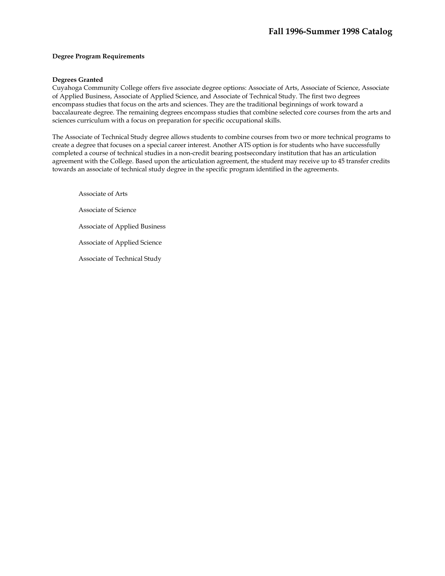### **Degree Program Requirements**

#### **Degrees Granted**

Cuyahoga Community College offers five associate degree options: Associate of Arts, Associate of Science, Associate of Applied Business, Associate of Applied Science, and Associate of Technical Study. The first two degrees encompass studies that focus on the arts and sciences. They are the traditional beginnings of work toward a baccalaureate degree. The remaining degrees encompass studies that combine selected core courses from the arts and sciences curriculum with a focus on preparation for specific occupational skills.

The Associate of Technical Study degree allows students to combine courses from two or more technical programs to create a degree that focuses on a special career interest. Another ATS option is for students who have successfully completed a course of technical studies in a non-credit bearing postsecondary institution that has an articulation agreement with the College. Based upon the articulation agreement, the student may receive up to 45 transfer credits towards an associate of technical study degree in the specific program identified in the agreements.

Associate of Arts Associate of Science Associate of Applied Business Associate of Applied Science Associate of Technical Study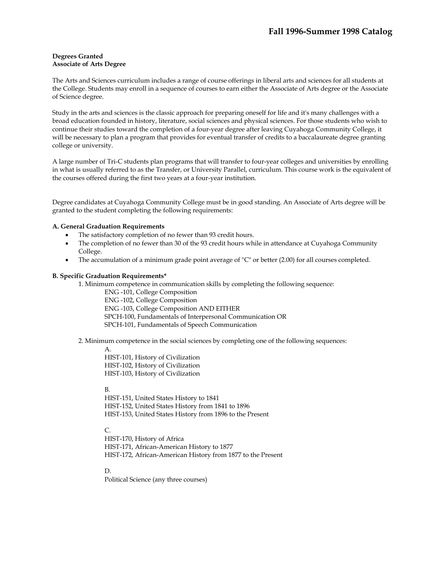### **Degrees Granted Associate of Arts Degree**

The Arts and Sciences curriculum includes a range of course offerings in liberal arts and sciences for all students at the College. Students may enroll in a sequence of courses to earn either the Associate of Arts degree or the Associate of Science degree.

Study in the arts and sciences is the classic approach for preparing oneself for life and it's many challenges with a broad education founded in history, literature, social sciences and physical sciences. For those students who wish to continue their studies toward the completion of a four-year degree after leaving Cuyahoga Community College, it will be necessary to plan a program that provides for eventual transfer of credits to a baccalaureate degree granting college or university.

A large number of Tri-C students plan programs that will transfer to four-year colleges and universities by enrolling in what is usually referred to as the Transfer, or University Parallel, curriculum. This course work is the equivalent of the courses offered during the first two years at a four-year institution.

Degree candidates at Cuyahoga Community College must be in good standing. An Associate of Arts degree will be granted to the student completing the following requirements:

# **A. General Graduation Requirements**

- The satisfactory completion of no fewer than 93 credit hours.
- The completion of no fewer than 30 of the 93 credit hours while in attendance at Cuyahoga Community College.
- The accumulation of a minimum grade point average of "C" or better (2.00) for all courses completed.

#### **B. Specific Graduation Requirements\***

1. Minimum competence in communication skills by completing the following sequence:

- ENG -101, College Composition ENG -102, College Composition ENG -103, College Composition AND EITHER
- SPCH-100, Fundamentals of Interpersonal Communication OR
- SPCH-101, Fundamentals of Speech Communication

2. Minimum competence in the social sciences by completing one of the following sequences:

A.

HIST-101, History of Civilization HIST-102, History of Civilization HIST-103, History of Civilization

B.

HIST-151, United States History to 1841 HIST-152, United States History from 1841 to 1896 HIST-153, United States History from 1896 to the Present

 $C_{n}$ 

HIST-170, History of Africa HIST-171, African-American History to 1877 HIST-172, African-American History from 1877 to the Present

D.

Political Science (any three courses)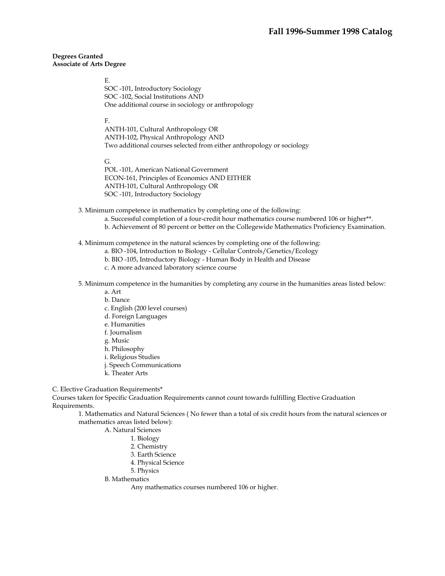#### **Degrees Granted Associate of Arts Degree**

#### E.

SOC -101, Introductory Sociology SOC -102, Social Institutions AND One additional course in sociology or anthropology

#### F.

ANTH-101, Cultural Anthropology OR ANTH-102, Physical Anthropology AND Two additional courses selected from either anthropology or sociology

#### G.

POL -101, American National Government ECON-161, Principles of Economics AND EITHER ANTH-101, Cultural Anthropology OR SOC -101, Introductory Sociology

3. Minimum competence in mathematics by completing one of the following:

- a. Successful completion of a four-credit hour mathematics course numbered 106 or higher\*\*.
- b. Achievement of 80 percent or better on the Collegewide Mathematics Proficiency Examination.

### 4. Minimum competence in the natural sciences by completing one of the following:

- a. BIO -104, Introduction to Biology Cellular Controls/Genetics/Ecology
- b. BIO -105, Introductory Biology Human Body in Health and Disease
- c. A more advanced laboratory science course
- 5. Minimum competence in the humanities by completing any course in the humanities areas listed below:
	- a. Art
	- b. Dance
	- c. English (200 level courses)
	- d. Foreign Languages
	- e. Humanities
	- f. Journalism
	- g. Music
	- h. Philosophy
	- i. Religious Studies
	- j. Speech Communications
	- k. Theater Arts

#### C. Elective Graduation Requirements\*

Courses taken for Specific Graduation Requirements cannot count towards fulfilling Elective Graduation Requirements.

1. Mathematics and Natural Sciences ( No fewer than a total of six credit hours from the natural sciences or mathematics areas listed below):

#### A. Natural Sciences

- 1. Biology
- 2. Chemistry
- 3. Earth Science
- 4. Physical Science
- 5. Physics

#### B. Mathematics

Any mathematics courses numbered 106 or higher.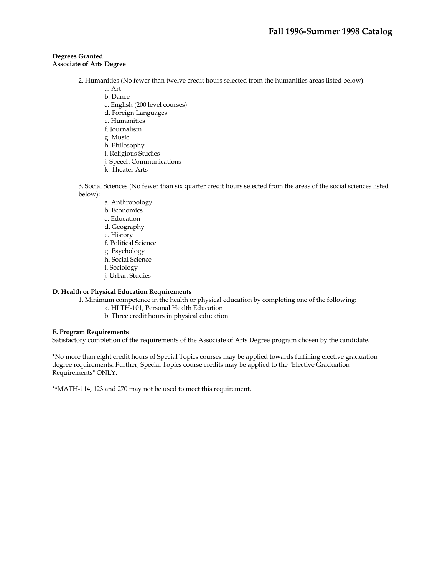### **Degrees Granted Associate of Arts Degree**

- 2. Humanities (No fewer than twelve credit hours selected from the humanities areas listed below):
	- a. Art
	- b. Dance
	- c. English (200 level courses)
	- d. Foreign Languages
	- e. Humanities
	- f. Journalism
	- g. Music
	- h. Philosophy
	- i. Religious Studies
	- j. Speech Communications
	- k. Theater Arts

3. Social Sciences (No fewer than six quarter credit hours selected from the areas of the social sciences listed below):

- a. Anthropology
- b. Economics
- c. Education
- d. Geography
- e. History
- f. Political Science
- g. Psychology
- h. Social Science
- i. Sociology
- j. Urban Studies

# **D. Health or Physical Education Requirements**

- 1. Minimum competence in the health or physical education by completing one of the following:
	- a. HLTH-101, Personal Health Education
		- b. Three credit hours in physical education

#### **E. Program Requirements**

Satisfactory completion of the requirements of the Associate of Arts Degree program chosen by the candidate.

\*No more than eight credit hours of Special Topics courses may be applied towards fulfilling elective graduation degree requirements. Further, Special Topics course credits may be applied to the "Elective Graduation Requirements" ONLY.

\*\*MATH-114, 123 and 270 may not be used to meet this requirement.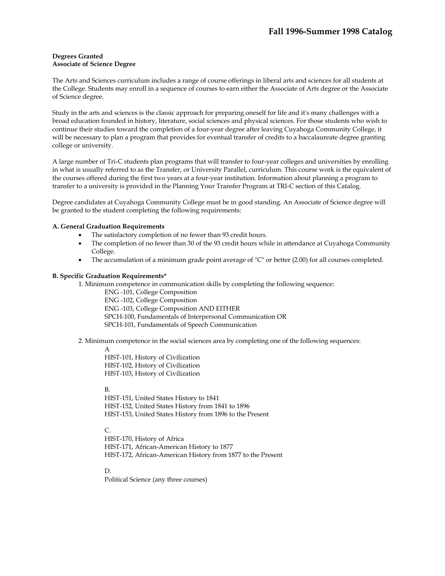The Arts and Sciences curriculum includes a range of course offerings in liberal arts and sciences for all students at the College. Students may enroll in a sequence of courses to earn either the Associate of Arts degree or the Associate of Science degree.

Study in the arts and sciences is the classic approach for preparing oneself for life and it's many challenges with a broad education founded in history, literature, social sciences and physical sciences. For those students who wish to continue their studies toward the completion of a four-year degree after leaving Cuyahoga Community College, it will be necessary to plan a program that provides for eventual transfer of credits to a baccalaureate degree granting college or university.

A large number of Tri-C students plan programs that will transfer to four-year colleges and universities by enrolling in what is usually referred to as the Transfer, or University Parallel, curriculum. This course work is the equivalent of the courses offered during the first two years at a four-year institution. Information about planning a program to transfer to a university is provided in the Planning Your Transfer Program at TRI-C section of this Catalog.

Degree candidates at Cuyahoga Community College must be in good standing. An Associate of Science degree will be granted to the student completing the following requirements:

# **A. General Graduation Requirements**

- The satisfactory completion of no fewer than 93 credit hours.
- The completion of no fewer than 30 of the 93 credit hours while in attendance at Cuyahoga Community College.
- The accumulation of a minimum grade point average of "C" or better (2.00) for all courses completed.

### **B. Specific Graduation Requirements\***

- 1. Minimum competence in communication skills by completing the following sequence:
	- ENG -101, College Composition ENG -102, College Composition ENG -103, College Composition AND EITHER SPCH-100, Fundamentals of Interpersonal Communication OR
	- SPCH-101, Fundamentals of Speech Communication

# 2. Minimum competence in the social sciences area by completing one of the following sequences:

A

HIST-101, History of Civilization HIST-102, History of Civilization HIST-103, History of Civilization

#### B.

HIST-151, United States History to 1841 HIST-152, United States History from 1841 to 1896 HIST-153, United States History from 1896 to the Present

# $C_{n}$

HIST-170, History of Africa HIST-171, African-American History to 1877 HIST-172, African-American History from 1877 to the Present

D.

Political Science (any three courses)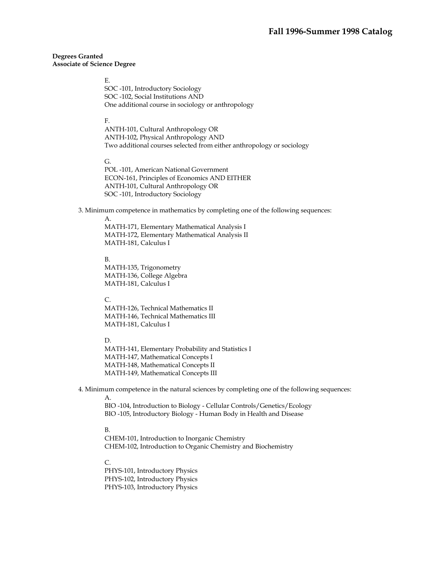#### E.

SOC -101, Introductory Sociology SOC -102, Social Institutions AND One additional course in sociology or anthropology

#### F.

ANTH-101, Cultural Anthropology OR ANTH-102, Physical Anthropology AND Two additional courses selected from either anthropology or sociology

### G.

POL -101, American National Government ECON-161, Principles of Economics AND EITHER ANTH-101, Cultural Anthropology OR SOC -101, Introductory Sociology

3. Minimum competence in mathematics by completing one of the following sequences:

#### A.

MATH-171, Elementary Mathematical Analysis I MATH-172, Elementary Mathematical Analysis II MATH-181, Calculus I

#### B.

MATH-135, Trigonometry MATH-136, College Algebra MATH-181, Calculus I

### C.

MATH-126, Technical Mathematics II MATH-146, Technical Mathematics III MATH-181, Calculus I

#### D.

MATH-141, Elementary Probability and Statistics I MATH-147, Mathematical Concepts I MATH-148, Mathematical Concepts II MATH-149, Mathematical Concepts III

4. Minimum competence in the natural sciences by completing one of the following sequences:

A.

BIO -104, Introduction to Biology - Cellular Controls/Genetics/Ecology BIO -105, Introductory Biology - Human Body in Health and Disease

# B.

CHEM-101, Introduction to Inorganic Chemistry CHEM-102, Introduction to Organic Chemistry and Biochemistry

#### $C_{\cdot}$

PHYS-101, Introductory Physics PHYS-102, Introductory Physics PHYS-103, Introductory Physics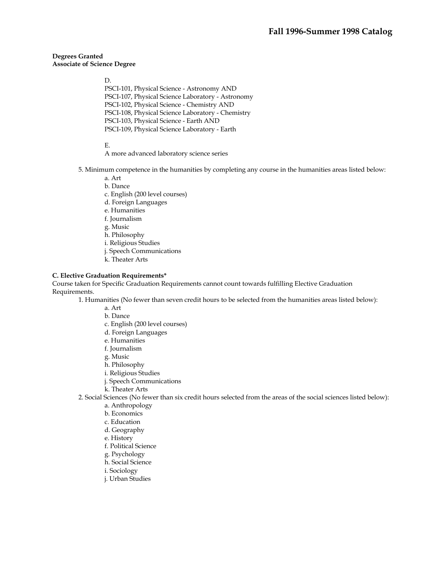D.

PSCI-101, Physical Science - Astronomy AND PSCI-107, Physical Science Laboratory - Astronomy PSCI-102, Physical Science - Chemistry AND PSCI-108, Physical Science Laboratory - Chemistry PSCI-103, Physical Science - Earth AND PSCI-109, Physical Science Laboratory - Earth

E.

- A more advanced laboratory science series
- 5. Minimum competence in the humanities by completing any course in the humanities areas listed below:
	- a. Art
	- b. Dance
	- c. English (200 level courses)
	- d. Foreign Languages
	- e. Humanities
	- f. Journalism
	- g. Music
	- h. Philosophy
	- i. Religious Studies
	- j. Speech Communications
	- k. Theater Arts

### **C. Elective Graduation Requirements\***

Course taken for Specific Graduation Requirements cannot count towards fulfilling Elective Graduation Requirements.

1. Humanities (No fewer than seven credit hours to be selected from the humanities areas listed below):

- a. Art
- b. Dance
- c. English (200 level courses)
- d. Foreign Languages
- e. Humanities
- f. Journalism
- g. Music
- h. Philosophy
- i. Religious Studies
- j. Speech Communications
- k. Theater Arts
- 2. Social Sciences (No fewer than six credit hours selected from the areas of the social sciences listed below):
	- a. Anthropology
	- b. Economics
	- c. Education
	- d. Geography
	- e. History
	- f. Political Science
	- g. Psychology
	- h. Social Science
	- i. Sociology
	- j. Urban Studies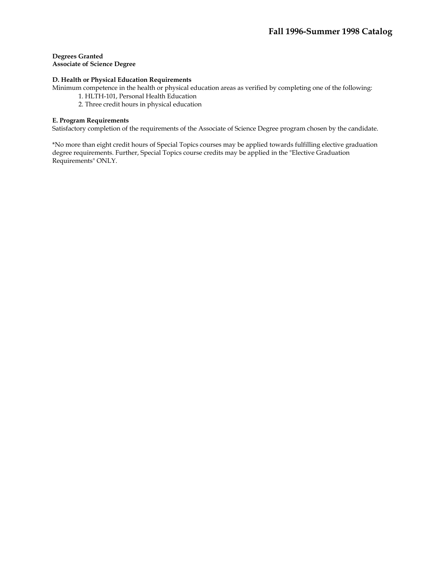# **D. Health or Physical Education Requirements**

Minimum competence in the health or physical education areas as verified by completing one of the following:

- 1. HLTH-101, Personal Health Education
- 2. Three credit hours in physical education

# **E. Program Requirements**

Satisfactory completion of the requirements of the Associate of Science Degree program chosen by the candidate.

\*No more than eight credit hours of Special Topics courses may be applied towards fulfilling elective graduation degree requirements. Further, Special Topics course credits may be applied in the "Elective Graduation Requirements" ONLY.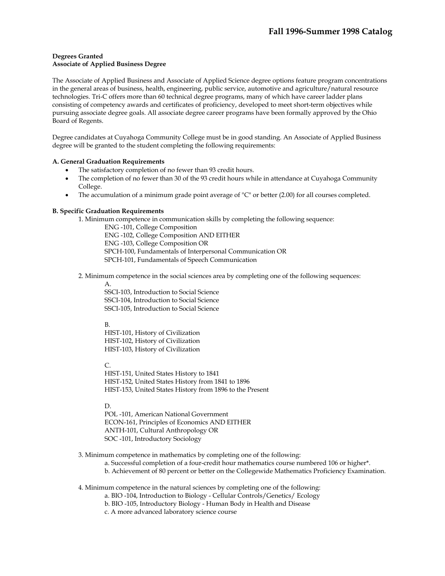### **Degrees Granted Associate of Applied Business Degree**

The Associate of Applied Business and Associate of Applied Science degree options feature program concentrations in the general areas of business, health, engineering, public service, automotive and agriculture/natural resource technologies. Tri-C offers more than 60 technical degree programs, many of which have career ladder plans consisting of competency awards and certificates of proficiency, developed to meet short-term objectives while pursuing associate degree goals. All associate degree career programs have been formally approved by the Ohio Board of Regents.

Degree candidates at Cuyahoga Community College must be in good standing. An Associate of Applied Business degree will be granted to the student completing the following requirements:

# **A. General Graduation Requirements**

- The satisfactory completion of no fewer than 93 credit hours.
- The completion of no fewer than 30 of the 93 credit hours while in attendance at Cuyahoga Community College.
- The accumulation of a minimum grade point average of "C" or better (2.00) for all courses completed.

### **B. Specific Graduation Requirements**

1. Minimum competence in communication skills by completing the following sequence:

ENG -101, College Composition ENG -102, College Composition AND EITHER ENG -103, College Composition OR SPCH-100, Fundamentals of Interpersonal Communication OR SPCH-101, Fundamentals of Speech Communication

2. Minimum competence in the social sciences area by completing one of the following sequences:

A.

SSCI-103, Introduction to Social Science SSCI-104, Introduction to Social Science SSCI-105, Introduction to Social Science

B.

HIST-101, History of Civilization HIST-102, History of Civilization HIST-103, History of Civilization

C.

HIST-151, United States History to 1841 HIST-152, United States History from 1841 to 1896 HIST-153, United States History from 1896 to the Present

D.

POL -101, American National Government ECON-161, Principles of Economics AND EITHER ANTH-101, Cultural Anthropology OR SOC -101, Introductory Sociology

3. Minimum competence in mathematics by completing one of the following:

a. Successful completion of a four-credit hour mathematics course numbered 106 or higher\*.

b. Achievement of 80 percent or better on the Collegewide Mathematics Proficiency Examination.

4. Minimum competence in the natural sciences by completing one of the following:

- a. BIO -104, Introduction to Biology Cellular Controls/Genetics/ Ecology
- b. BIO -105, Introductory Biology Human Body in Health and Disease
- c. A more advanced laboratory science course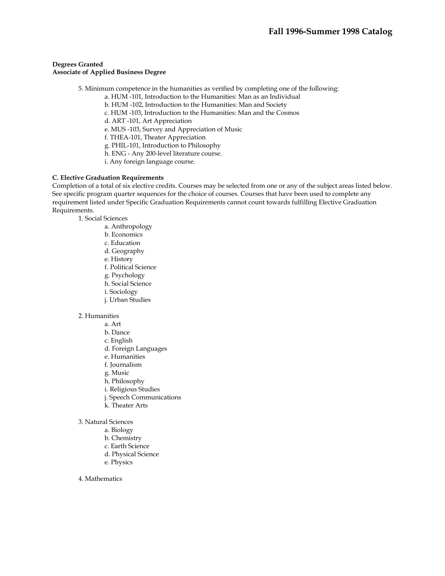## **Degrees Granted Associate of Applied Business Degree**

- 5. Minimum competence in the humanities as verified by completing one of the following:
	- a. HUM -101, Introduction to the Humanities: Man as an Individual
	- b. HUM -102, Introduction to the Humanities: Man and Society
	- c. HUM -103, Introduction to the Humanities: Man and the Cosmos
	- d. ART -101, Art Appreciation
	- e. MUS -103, Survey and Appreciation of Music
	- f. THEA-101, Theater Appreciation
	- g. PHIL-101, Introduction to Philosophy
	- h. ENG Any 200-level literature course.
	- i. Any foreign language course.

#### **C. Elective Graduation Requirements**

Completion of a total of six elective credits. Courses may be selected from one or any of the subject areas listed below. See specific program quarter sequences for the choice of courses. Courses that have been used to complete any requirement listed under Specific Graduation Requirements cannot count towards fulfilling Elective Graduation Requirements.

1. Social Sciences

- a. Anthropology
- b. Economics
- c. Education
- d. Geography
- e. History
- f. Political Science
- g. Psychology
- h. Social Science
- i. Sociology
- j. Urban Studies

### 2. Humanities

- a. Art
- b. Dance
- c. English
- d. Foreign Languages
- e. Humanities
- f. Journalism
- g. Music
- h. Philosophy
- i. Religious Studies
- j. Speech Communications
- k. Theater Arts
- 3. Natural Sciences
	- a. Biology
	- b. Chemistry
	- c. Earth Science
	- d. Physical Science
	- e. Physics
- 4. Mathematics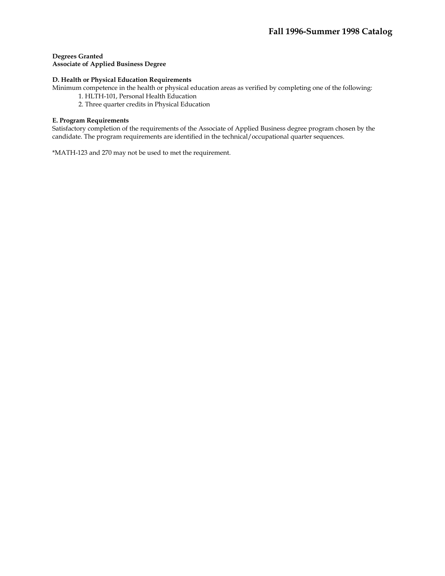### **Degrees Granted Associate of Applied Business Degree**

### **D. Health or Physical Education Requirements**

Minimum competence in the health or physical education areas as verified by completing one of the following:

- 1. HLTH-101, Personal Health Education
- 2. Three quarter credits in Physical Education

### **E. Program Requirements**

Satisfactory completion of the requirements of the Associate of Applied Business degree program chosen by the candidate. The program requirements are identified in the technical/occupational quarter sequences.

\*MATH-123 and 270 may not be used to met the requirement.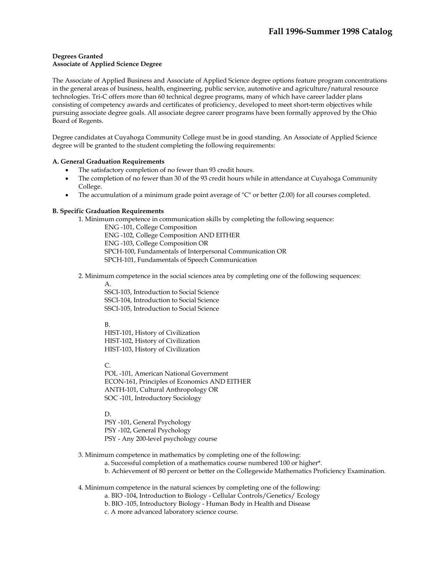The Associate of Applied Business and Associate of Applied Science degree options feature program concentrations in the general areas of business, health, engineering, public service, automotive and agriculture/natural resource technologies. Tri-C offers more than 60 technical degree programs, many of which have career ladder plans consisting of competency awards and certificates of proficiency, developed to meet short-term objectives while pursuing associate degree goals. All associate degree career programs have been formally approved by the Ohio Board of Regents.

Degree candidates at Cuyahoga Community College must be in good standing. An Associate of Applied Science degree will be granted to the student completing the following requirements:

# **A. General Graduation Requirements**

- The satisfactory completion of no fewer than 93 credit hours.
- The completion of no fewer than 30 of the 93 credit hours while in attendance at Cuyahoga Community College.
- The accumulation of a minimum grade point average of "C" or better (2.00) for all courses completed.

### **B. Specific Graduation Requirements**

1. Minimum competence in communication skills by completing the following sequence:

ENG -101, College Composition ENG -102, College Composition AND EITHER ENG -103, College Composition OR SPCH-100, Fundamentals of Interpersonal Communication OR SPCH-101, Fundamentals of Speech Communication

2. Minimum competence in the social sciences area by completing one of the following sequences:

A.

SSCI-103, Introduction to Social Science SSCI-104, Introduction to Social Science SSCI-105, Introduction to Social Science

B.

HIST-101, History of Civilization HIST-102, History of Civilization HIST-103, History of Civilization

C.

POL -101, American National Government ECON-161, Principles of Economics AND EITHER ANTH-101, Cultural Anthropology OR SOC -101, Introductory Sociology

D.

PSY -101, General Psychology PSY -102, General Psychology PSY - Any 200-level psychology course

3. Minimum competence in mathematics by completing one of the following:

a. Successful completion of a mathematics course numbered 100 or higher\*.

b. Achievement of 80 percent or better on the Collegewide Mathematics Proficiency Examination.

4. Minimum competence in the natural sciences by completing one of the following:

- a. BIO -104, Introduction to Biology Cellular Controls/Genetics/ Ecology
- b. BIO -105, Introductory Biology Human Body in Health and Disease
- c. A more advanced laboratory science course.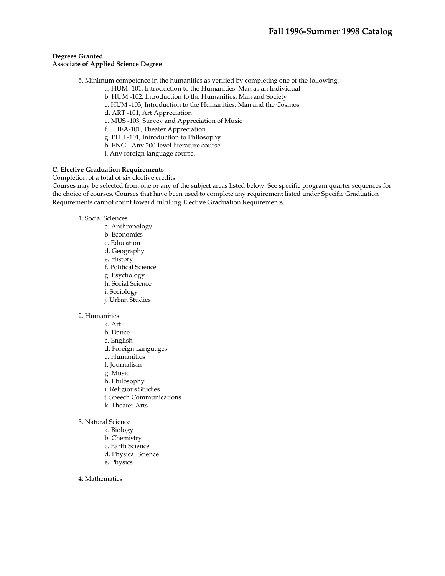5. Minimum competence in the humanities as verified by completing one of the following:

a. HUM -101, Introduction to the Humanities: Man as an Individual

- b. HUM -102, Introduction to the Humanities: Man and Society
- c. HUM -103, Introduction to the Humanities: Man and the Cosmos
- d. ART -101, Art Appreciation
- e. MUS -103, Survey and Appreciation of Music
- f. THEA-101, Theater Appreciation
- g. PHIL-101, Introduction to Philosophy
- h. ENG Any 200-level literature course.
- i. Any foreign language course.

### **C. Elective Graduation Requirements**

### Completion of a total of six elective credits.

Courses may be selected from one or any of the subject areas listed below. See specific program quarter sequences for the choice of courses. Courses that have been used to complete any requirement listed under Specific Graduation Requirements cannot count toward fulfilling Elective Graduation Requirements.

- 1. Social Sciences
	- a. Anthropology
	- b. Economics
	- c. Education
	- d. Geography
	- e. History
	- f. Political Science
	- g. Psychology
	- h. Social Science
	- i. Sociology
	- j. Urban Studies

### 2. Humanities

- a. Art
- b. Dance
- c. English
- d. Foreign Languages
- e. Humanities
- f. Journalism
- g. Music
- h. Philosophy
- i. Religious Studies
- j. Speech Communications
- k. Theater Arts
- 3. Natural Science
	- a. Biology
	- b. Chemistry
	- c. Earth Science
	- d. Physical Science
	- e. Physics
- 4. Mathematics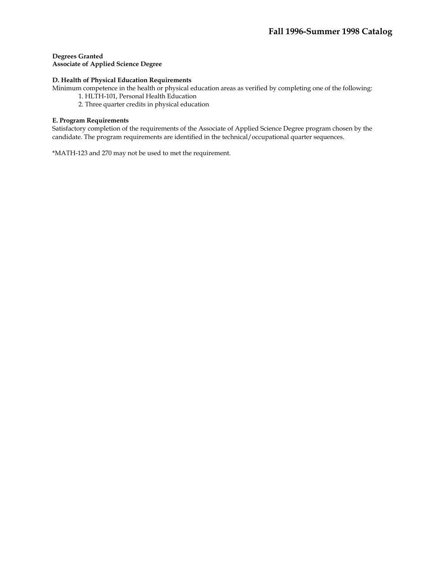### **D. Health of Physical Education Requirements**

Minimum competence in the health or physical education areas as verified by completing one of the following:

- 1. HLTH-101, Personal Health Education
- 2. Three quarter credits in physical education

### **E. Program Requirements**

Satisfactory completion of the requirements of the Associate of Applied Science Degree program chosen by the candidate. The program requirements are identified in the technical/occupational quarter sequences.

\*MATH-123 and 270 may not be used to met the requirement.